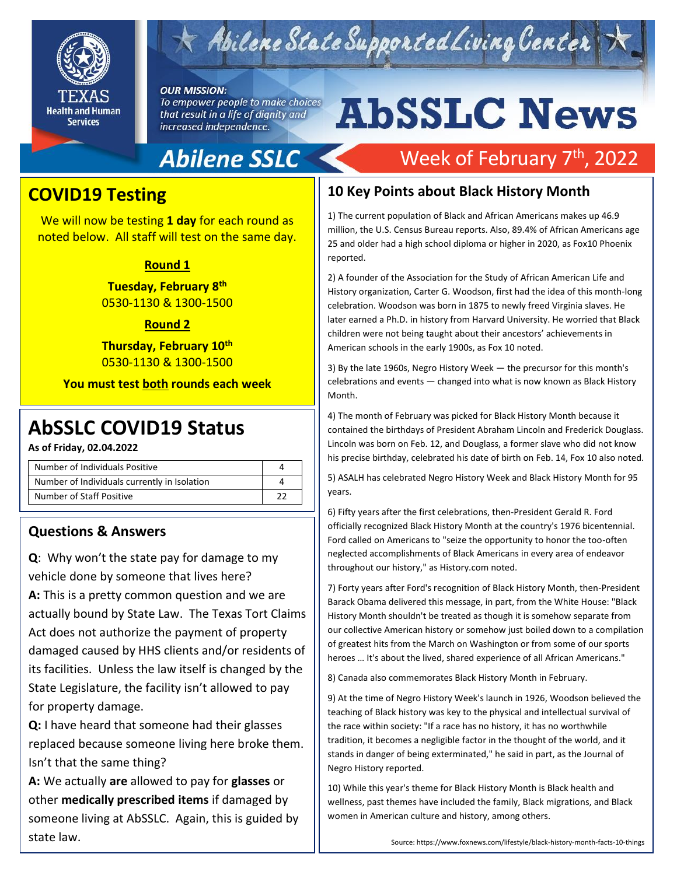

## $\star$  Abilene State Supported Living Center

#### **OUR MISSION:**

To empower people to make choices that result in a life of dignity and increased independence.

# **AbSSLC News**

## **Abilene SSLC**

## Week of February 7<sup>th</sup>, 2022

### **COVID19 Testing**

We will now be testing **1 day** for each round as noted below. All staff will test on the same day.

#### **Round 1**

**Tuesday, February 8 th** 0530-1130 & 1300-1500

#### **Round 2**

**Thursday, February 10th** 0530-1130 & 1300-1500

**You must test both rounds each week**

**As of Friday, 02.04.2022**

| Number of Individuals Positive               |  |
|----------------------------------------------|--|
| Number of Individuals currently in Isolation |  |
| Number of Staff Positive                     |  |

#### **Questions & Answers**

**Q**: Why won't the state pay for damage to my vehicle done by someone that lives here? **A:** This is a pretty common question and we are actually bound by State Law. The Texas Tort Claims Act does not authorize the payment of property damaged caused by HHS clients and/or residents of its facilities. Unless the law itself is changed by the State Legislature, the facility isn't allowed to pay for property damage.

**Q:** I have heard that someone had their glasses replaced because someone living here broke them. Isn't that the same thing?

**A:** We actually **are** allowed to pay for **glasses** or other **medically prescribed items** if damaged by someone living at AbSSLC. Again, this is guided by state law.

### **10 Key Points about Black History Month**

1) The current population of Black and African Americans makes up 46.9 million, the U.S. Census Bureau reports. Also, 89.4% of African Americans age 25 and older had a high school diploma or higher in 2020, as Fox10 Phoenix reported.

2) A founder of the Association for the Study of African American Life and History organization, Carter G. Woodson, first had the idea of this month-long celebration. Woodson was born in 1875 to newly freed Virginia slaves. He later earned a Ph.D. in history from Harvard University. He worried that Black children were not being taught about their ancestors' achievements in American schools in the early 1900s, as Fox 10 noted.

3) By the late 1960s, Negro History Week — the precursor for this month's celebrations and events — changed into what is now known as Black History Month.

AbSSLC COVID19 Status<br>
and Status and Experiment Abraham Lincoln and Frederick Douglass.<br>
Lincoln was born on Feb. 12, and Douglass, a former slave who did not know 4) The month of February was picked for Black History Month because it Lincoln was born on Feb. 12, and Douglass, a former slave who did not know his precise birthday, celebrated his date of birth on Feb. 14, Fox 10 also noted.

> 5) ASALH has celebrated Negro History Week and Black History Month for 95 years.

> 6) Fifty years after the first celebrations, then-President Gerald R. Ford officially recognized Black History Month at the country's 1976 bicentennial. Ford called on Americans to "seize the opportunity to honor the too-often neglected accomplishments of Black Americans in every area of endeavor throughout our history," as History.com noted.

7) Forty years after Ford's recognition of Black History Month, then-President Barack Obama delivered this message, in part, from the White House: "Black History Month shouldn't be treated as though it is somehow separate from our collective American history or somehow just boiled down to a compilation of greatest hits from the March on Washington or from some of our sports heroes … It's about the lived, shared experience of all African Americans."

8) Canada also commemorates Black History Month in February.

9) At the time of Negro History Week's launch in 1926, Woodson believed the teaching of Black history was key to the physical and intellectual survival of the race within society: "If a race has no history, it has no worthwhile tradition, it becomes a negligible factor in the thought of the world, and it stands in danger of being exterminated," he said in part, as the Journal of Negro History reported.

10) While this year's theme for Black History Month is Black health and wellness, past themes have included the family, Black migrations, and Black women in American culture and history, among others.